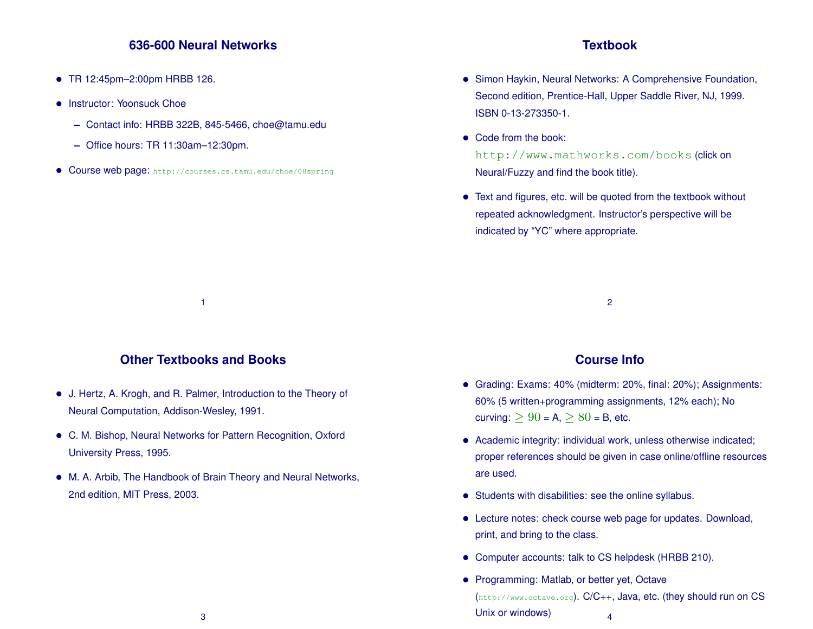## **636-600 Neural Networks**

- TR 12:45pm–2:00pm HRBB 126.
- Instructor: Yoonsuck Choe
	- **–** Contact info: HRBB 322B, 845-5466, choe@tamu.edu
	- **–** Office hours: TR 11:30am–12:30pm.
- Course web page: http://courses.cs.tamu.edu/choe/08spring

#### **Textbook**

- Simon Haykin, Neural Networks: A Comprehensive Foundation, Second edition, Prentice-Hall, Upper Saddle River, NJ, 1999. ISBN 0-13-273350-1.
- Code from the book: http://www.mathworks.com/books (click on Neural/Fuzzy and find the book title).
- Text and figures, etc. will be quoted from the textbook without repeated acknowledgment. Instructor's perspective will be indicated by "YC" where appropriate.

2

## **Other Textbooks and Books**

1

- J. Hertz, A. Krogh, and R. Palmer, Introduction to the Theory of Neural Computation, Addison-Wesley, 1991.
- C. M. Bishop, Neural Networks for Pattern Recognition, Oxford University Press, 1995.
- M. A. Arbib, The Handbook of Brain Theory and Neural Networks, 2nd edition, MIT Press, 2003.

#### **Course Info**

- Grading: Exams: 40% (midterm: 20%, final: 20%); Assignments: 60% (5 written+programming assignments, 12% each); No curving:  $\geq 90$  = A,  $\geq 80$  = B, etc.
- Academic integrity: individual work, unless otherwise indicated; proper references should be given in case online/offline resources are used.
- Students with disabilities: see the online syllabus.
- Lecture notes: check course web page for updates. Download, print, and bring to the class.
- Computer accounts: talk to CS helpdesk (HRBB 210).
- Programming: Matlab, or better yet, Octave (http://www.octave.org). C/C++, Java, etc. (they should run on CS Unix or windows) 4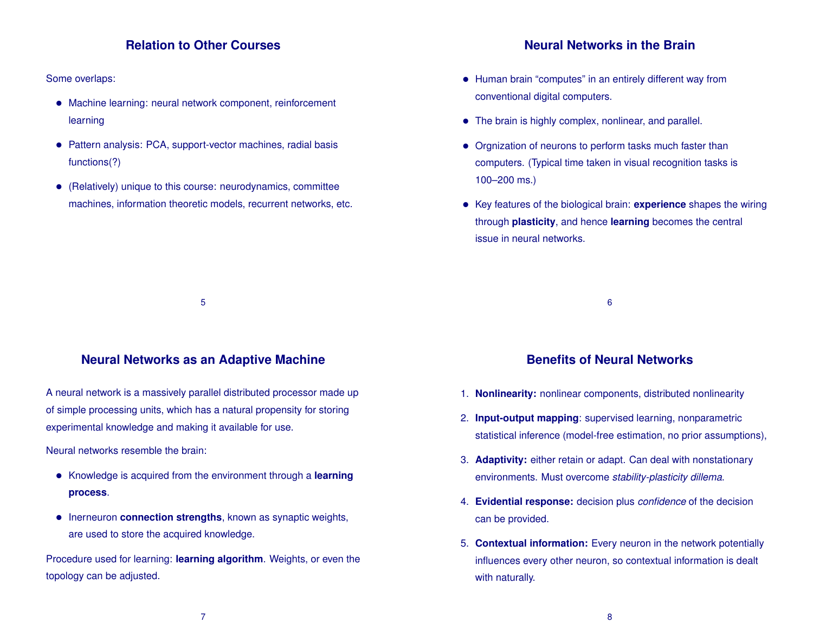#### **Relation to Other Courses**

Some overlaps:

- Machine learning: neural network component, reinforcement learning
- Pattern analysis: PCA, support-vector machines, radial basis functions(?)
- (Relatively) unique to this course: neurodynamics, committee machines, information theoretic models, recurrent networks, etc.

#### **Neural Networks in the Brain**

- Human brain "computes" in an entirely different way from conventional digital computers.
- The brain is highly complex, nonlinear, and parallel.
- Orgnization of neurons to perform tasks much faster than computers. (Typical time taken in visual recognition tasks is 100–200 ms.)
- Key features of the biological brain: **experience** shapes the wiring through **plasticity**, and hence **learning** becomes the central issue in neural networks.

#### **Neural Networks as an Adaptive Machine**

5

A neural network is a massively parallel distributed processor made up of simple processing units, which has a natural propensity for storing experimental knowledge and making it available for use.

Neural networks resemble the brain:

- Knowledge is acquired from the environment through a **learning process**.
- Inerneuron **connection strengths**, known as synaptic weights, are used to store the acquired knowledge.

Procedure used for learning: **learning algorithm**. Weights, or even the topology can be adjusted.

## **Benefits of Neural Networks**

6

- 1. **Nonlinearity:** nonlinear components, distributed nonlinearity
- 2. **Input-output mapping**: supervised learning, nonparametric statistical inference (model-free estimation, no prior assumptions),
- 3. **Adaptivity:** either retain or adapt. Can deal with nonstationary environments. Must overcome *stability-plasticity dillema*.
- 4. **Evidential response:** decision plus *confidence* of the decision can be provided.
- 5. **Contextual information:** Every neuron in the network potentially influences every other neuron, so contextual information is dealt with naturally.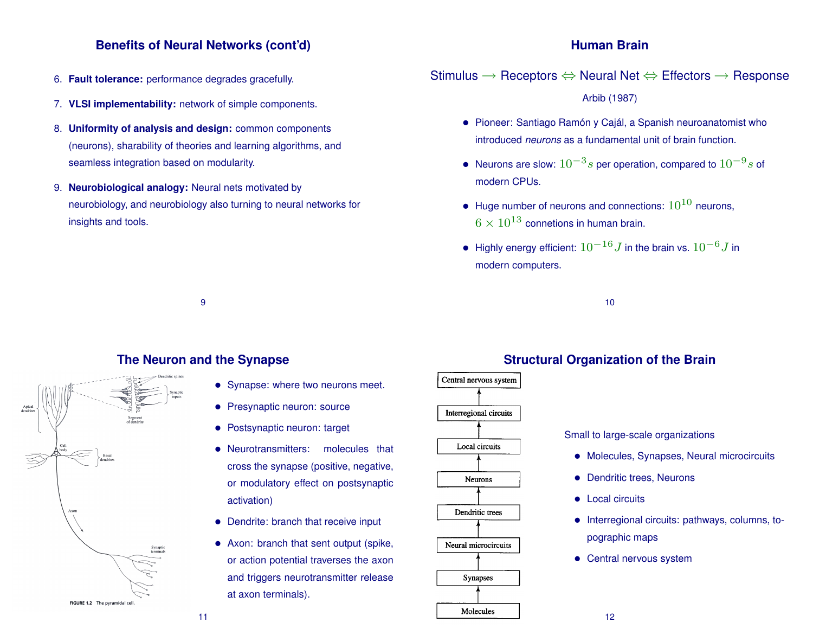### **Benefits of Neural Networks (cont'd)**

- 6. **Fault tolerance:** performance degrades gracefully.
- 7. **VLSI implementability:** network of simple components.
- 8. **Uniformity of analysis and design:** common components (neurons), sharability of theories and learning algorithms, and seamless integration based on modularity.
- 9. **Neurobiological analogy:** Neural nets motivated by neurobiology, and neurobiology also turning to neural networks for insights and tools.

#### **Human Brain**

Stimulus  $\rightarrow$  Receptors  $\Leftrightarrow$  Neural Net  $\Leftrightarrow$  Effectors  $\rightarrow$  Response Arbib (1987)

- Pioneer: Santiago Ramón y Cajál, a Spanish neuroanatomist who introduced *neurons* as a fundamental unit of brain function.
- Neurons are slow:  $10^{-3}s$  per operation, compared to  $10^{-9}s$  of modern CPUs.
- Huge number of neurons and connections:  $10^{10}$  neurons,  $6 \times 10^{13}$  connetions in human brain.
- $\bullet~$  Highly energy efficient:  $10^{-16}J$  in the brain vs.  $10^{-6}J$  in modern computers.

10

#### **The Neuron and the Synapse**

9



- Synapse: where two neurons meet.
- Presynaptic neuron: source
- Postsynaptic neuron: target
- Neurotransmitters: molecules that cross the synapse (positive, negative, or modulatory effect on postsynaptic activation)
- Dendrite: branch that receive input
- Axon: branch that sent output (spike, or action potential traverses the axon and triggers neurotransmitter release at axon terminals).



## **Structural Organization of the Brain**

Small to large-scale organizations

- Molecules, Synapses, Neural microcircuits
- Dendritic trees, Neurons
- Local circuits
- Interregional circuits: pathways, columns, topographic maps
- Central nervous system

11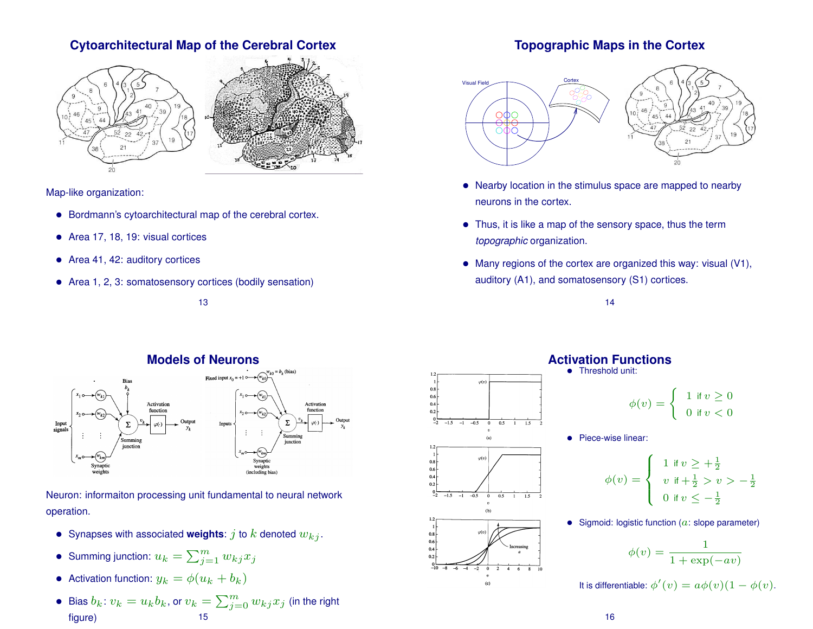## **Cytoarchitectural Map of the Cerebral Cortex**



Map-like organization:

- Bordmann's cytoarchitectural map of the cerebral cortex.
- Area 17, 18, 19: visual cortices
- Area 41, 42: auditory cortices
- Area 1, 2, 3: somatosensory cortices (bodily sensation)

13



Neuron: informaiton processing unit fundamental to neural network operation.

- Synapses with associated **weights**:  $j$  to  $k$  denoted  $w_{ki}$ .
- Summing junction:  $u_k = \sum_{j=1}^m w_{kj}x_j$
- Activation function:  $y_k = \phi(u_k + b_k)$
- $\bullet\,$  Bias  $b_k\colon v_k=u_kb_k,$  or  $v_k=\sum_{j=0}^m w_{kj}x_j$  (in the right figure) 15

## **Topographic Maps in the Cortex**



- Nearby location in the stimulus space are mapped to nearby neurons in the cortex.
- Thus, it is like a map of the sensory space, thus the term *topographic* organization.
- Many regions of the cortex are organized this way: visual (V1), auditory (A1), and somatosensory (S1) cortices.





## **Activation Functions**

Threshold unit:

$$
\phi(v) = \begin{cases} 1 & \text{if } v \ge 0 \\ 0 & \text{if } v < 0 \end{cases}
$$

• Piece-wise linear:

$$
\phi(v) = \begin{cases} 1 & \text{if } v \ge +\frac{1}{2} \\ v & \text{if } +\frac{1}{2} > v > -\frac{1}{2} \\ 0 & \text{if } v \le -\frac{1}{2} \end{cases}
$$

• Sigmoid: logistic function  $(a: slope \text{ parameter})$ 

$$
\phi(v) = \frac{1}{1 + \exp(-av)}
$$

It is differentiable:  $\phi'(v) = a\phi(v)(1 - \phi(v)).$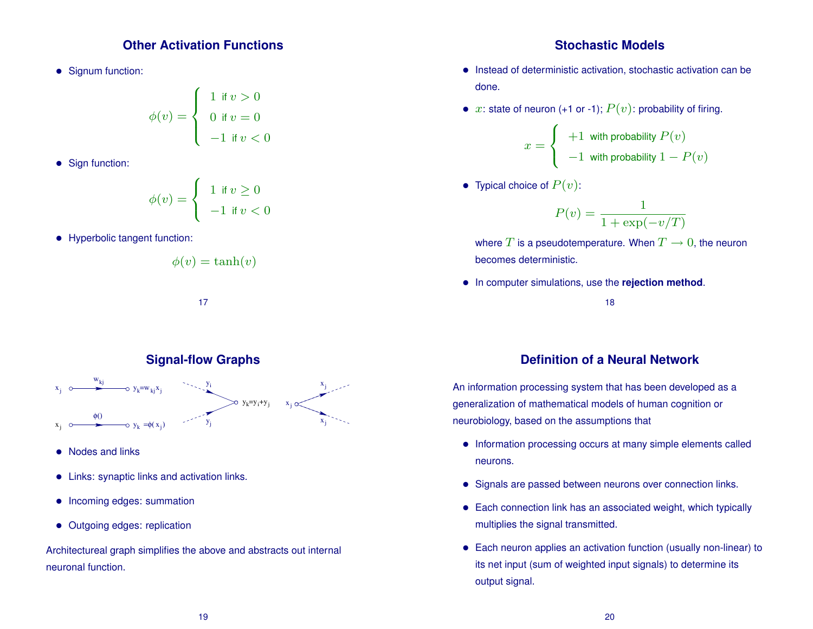#### **Other Activation Functions**

• Signum function:

$$
\phi(v) = \begin{cases} 1 & \text{if } v > 0 \\ 0 & \text{if } v = 0 \\ -1 & \text{if } v < 0 \end{cases}
$$

• Sign function:

$$
\phi(v) = \begin{cases} 1 & \text{if } v \ge 0 \\ -1 & \text{if } v < 0 \end{cases}
$$

• Hyperbolic tangent function:

$$
\phi(v) = \tanh(v)
$$

yi  $y_j$  $y_k = y_i + y_j$ xj w<sub>kj</sub>  $x_j \sim y_k = w_{kj} x_j$  $y_k = \phi(x_j)$ φ()  $=\phi(x)$ ) xj  $x_i$ xj

**Signal-flow Graphs**

17

- Nodes and links
- Links: synaptic links and activation links.
- Incoming edges: summation
- Outgoing edges: replication

Architectureal graph simplifies the above and abstracts out internal neuronal function.

#### **Stochastic Models**

- Instead of deterministic activation, stochastic activation can be done.
- $x$ : state of neuron (+1 or -1);  $P(v)$ : probability of firing.

$$
x = \begin{cases} +1 & \text{with probability } P(v) \\ -1 & \text{with probability } 1 - P(v) \end{cases}
$$

• Typical choice of  $P(v)$ :

$$
P(v) = \frac{1}{1 + \exp(-v/T)}
$$

where T is a pseudotemperature. When  $T \to 0$ , the neuron becomes deterministic.

• In computer simulations, use the **rejection method**.

18

## **Definition of a Neural Network**

An information processing system that has been developed as a generalization of mathematical models of human cognition or neurobiology, based on the assumptions that

- Information processing occurs at many simple elements called neurons.
- Signals are passed between neurons over connection links.
- Each connection link has an associated weight, which typically multiplies the signal transmitted.
- Each neuron applies an activation function (usually non-linear) to its net input (sum of weighted input signals) to determine its output signal.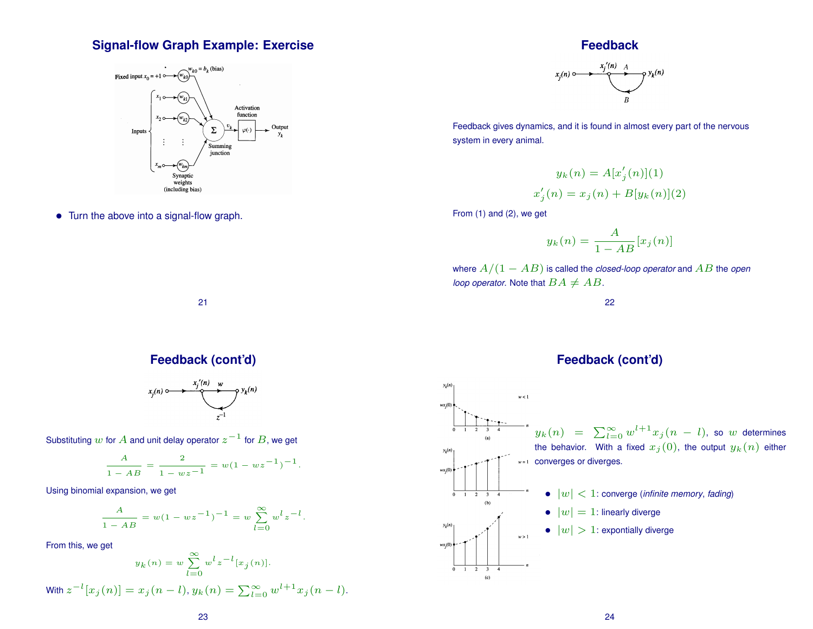## **Signal-flow Graph Example: Exercise**



• Turn the above into a signal-flow graph.

#### **Feedback**



Feedback gives dynamics, and it is found in almost every part of the nervous system in every animal.

$$
y_k(n) = A[x'_j(n)](1)
$$
  

$$
x'_j(n) = x_j(n) + B[y_k(n)](2)
$$

From (1) and (2), we get

$$
y_k(n) = \frac{A}{1 - AB} [x_j(n)]
$$

where A/(1 − AB) is called the *closed-loop operator* and AB the *open loop operator.* Note that  $BA \neq AB$ .

22

## **Feedback (cont'd)**

21

$$
x_j(n) \xrightarrow{\qquad x_j'(n) \qquad w \qquad y_k(n)}
$$

Substituting  $w$  for  $A$  and unit delay operator  $z^{-1}$  for  $B$ , we get

$$
\frac{A}{1 - AB} = \frac{2}{1 - wz - 1} = w(1 - wz^{-1})^{-1}.
$$

Using binomial expansion, we get

$$
\frac{A}{1 - AB} = w(1 - wz^{-1})^{-1} = w \sum_{l=0}^{\infty} w^l z^{-l}.
$$

From this, we get

**With** 

$$
y_k(n) = w \sum_{l=0}^{\infty} w^l z^{-l} [x_j(n)].
$$
  

$$
z^{-l} [x_j(n)] = x_j(n-l), y_k(n) = \sum_{l=0}^{\infty} w^{l+1} x_j(n-l).
$$

## **Feedback (cont'd)**

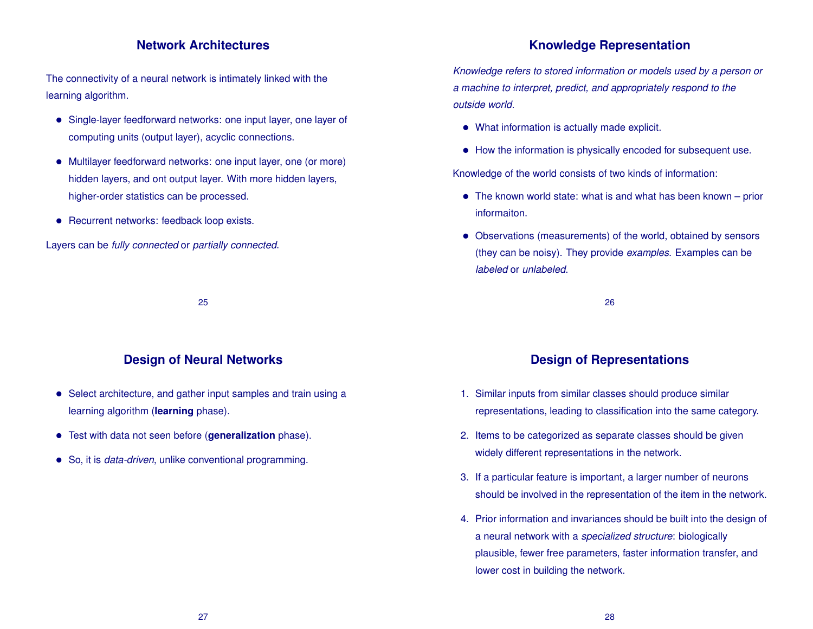#### **Network Architectures**

The connectivity of a neural network is intimately linked with the learning algorithm.

- Single-layer feedforward networks: one input layer, one layer of computing units (output layer), acyclic connections.
- Multilayer feedforward networks: one input layer, one (or more) hidden layers, and ont output layer. With more hidden layers, higher-order statistics can be processed.
- Recurrent networks: feedback loop exists.

Layers can be *fully connected* or *partially connected*.

25

## **Design of Neural Networks**

- Select architecture, and gather input samples and train using a learning algorithm (**learning** phase).
- Test with data not seen before (**generalization** phase).
- So, it is *data-driven*, unlike conventional programming.

## **Knowledge Representation**

*Knowledge refers to stored information or models used by a person or a machine to interpret, predict, and appropriately respond to the outside world.*

- What information is actually made explicit.
- How the information is physically encoded for subsequent use.

Knowledge of the world consists of two kinds of information:

- The known world state: what is and what has been known prior informaiton.
- Observations (measurements) of the world, obtained by sensors (they can be noisy). They provide *examples*. Examples can be *labeled* or *unlabeled*.

26

## **Design of Representations**

- 1. Similar inputs from similar classes should produce similar representations, leading to classification into the same category.
- 2. Items to be categorized as separate classes should be given widely different representations in the network.
- 3. If a particular feature is important, a larger number of neurons should be involved in the representation of the item in the network.
- 4. Prior information and invariances should be built into the design of a neural network with a *specialized structure*: biologically plausible, fewer free parameters, faster information transfer, and lower cost in building the network.